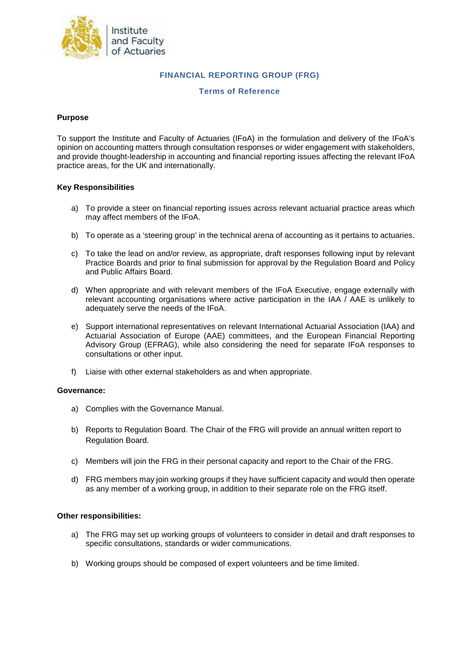

# **FINANCIAL REPORTING GROUP (FRG)**

## **Terms of Reference**

## **Purpose**

To support the Institute and Faculty of Actuaries (IFoA) in the formulation and delivery of the IFoA's opinion on accounting matters through consultation responses or wider engagement with stakeholders, and provide thought-leadership in accounting and financial reporting issues affecting the relevant IFoA practice areas, for the UK and internationally.

# **Key Responsibilities**

- a) To provide a steer on financial reporting issues across relevant actuarial practice areas which may affect members of the IFoA.
- b) To operate as a 'steering group' in the technical arena of accounting as it pertains to actuaries.
- c) To take the lead on and/or review, as appropriate, draft responses following input by relevant Practice Boards and prior to final submission for approval by the Regulation Board and Policy and Public Affairs Board.
- d) When appropriate and with relevant members of the IFoA Executive, engage externally with relevant accounting organisations where active participation in the IAA / AAE is unlikely to adequately serve the needs of the IFoA.
- e) Support international representatives on relevant International Actuarial Association (IAA) and Actuarial Association of Europe (AAE) committees, and the European Financial Reporting Advisory Group (EFRAG), while also considering the need for separate IFoA responses to consultations or other input.
- f) Liaise with other external stakeholders as and when appropriate.

#### **Governance:**

- a) Complies with the Governance Manual.
- b) Reports to Regulation Board. The Chair of the FRG will provide an annual written report to Regulation Board.
- c) Members will join the FRG in their personal capacity and report to the Chair of the FRG.
- d) FRG members may join working groups if they have sufficient capacity and would then operate as any member of a working group, in addition to their separate role on the FRG itself.

## **Other responsibilities:**

- a) The FRG may set up working groups of volunteers to consider in detail and draft responses to specific consultations, standards or wider communications.
- b) Working groups should be composed of expert volunteers and be time limited.